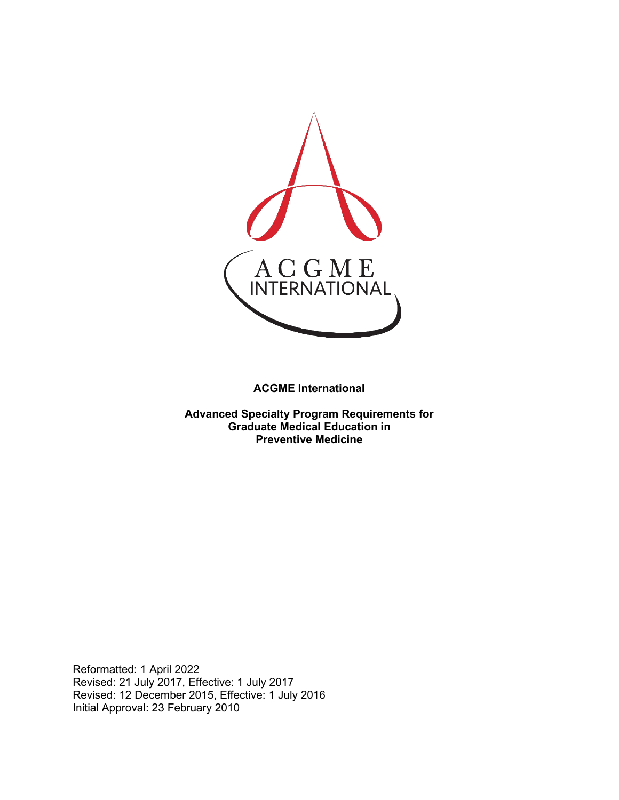

**ACGME International** 

**Advanced Specialty Program Requirements for Graduate Medical Education in Preventive Medicine**

Reformatted: 1 April 2022 Revised: 21 July 2017, Effective: 1 July 2017 Revised: 12 December 2015, Effective: 1 July 2016 Initial Approval: 23 February 2010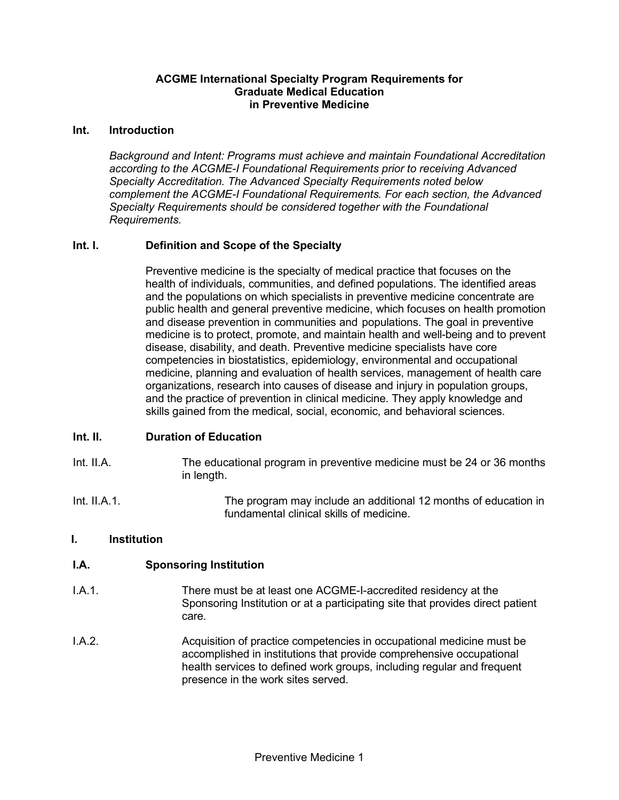#### **ACGME International Specialty Program Requirements for Graduate Medical Education in Preventive Medicine**

#### **Int. Introduction**

*Background and Intent: Programs must achieve and maintain Foundational Accreditation according to the ACGME-I Foundational Requirements prior to receiving Advanced Specialty Accreditation. The Advanced Specialty Requirements noted below complement the ACGME-I Foundational Requirements. For each section, the Advanced Specialty Requirements should be considered together with the Foundational Requirements.*

#### **Int. I. Definition and Scope of the Specialty**

Preventive medicine is the specialty of medical practice that focuses on the health of individuals, communities, and defined populations. The identified areas and the populations on which specialists in preventive medicine concentrate are public health and general preventive medicine, which focuses on health promotion and disease prevention in communities and populations. The goal in preventive medicine is to protect, promote, and maintain health and well-being and to prevent disease, disability, and death. Preventive medicine specialists have core competencies in biostatistics, epidemiology, environmental and occupational medicine, planning and evaluation of health services, management of health care organizations, research into causes of disease and injury in population groups, and the practice of prevention in clinical medicine. They apply knowledge and skills gained from the medical, social, economic, and behavioral sciences.

#### **Int. II. Duration of Education**

- Int. II.A. The educational program in preventive medicine must be 24 or 36 months in length.
- Int. II.A.1. The program may include an additional 12 months of education in fundamental clinical skills of medicine.

#### **I. Institution**

#### **I.A. Sponsoring Institution**

- I.A.1. There must be at least one ACGME-I-accredited residency at the Sponsoring Institution or at a participating site that provides direct patient care*.*
- I.A.2. Acquisition of practice competencies in occupational medicine must be accomplished in institutions that provide comprehensive occupational health services to defined work groups, including regular and frequent presence in the work sites served.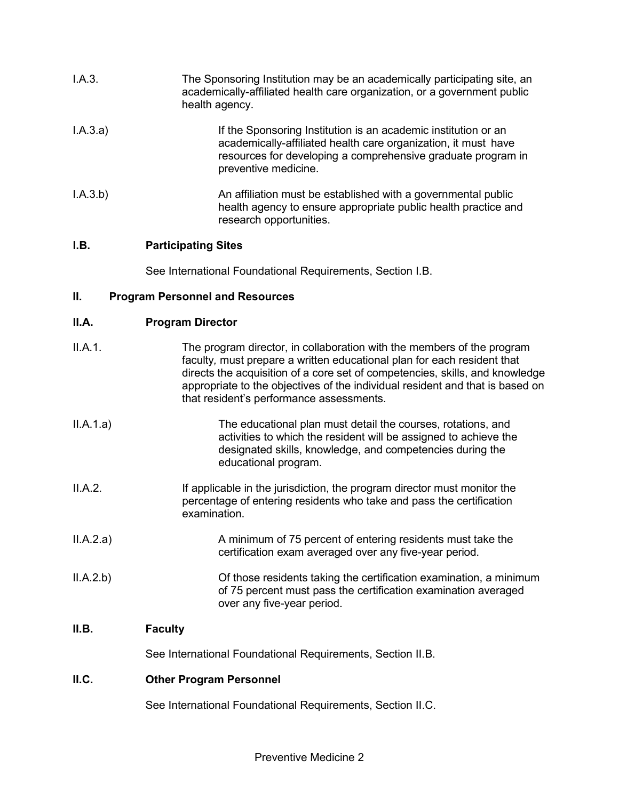| I.A.3.   | The Sponsoring Institution may be an academically participating site, an<br>academically-affiliated health care organization, or a government public<br>health agency.                                                   |
|----------|--------------------------------------------------------------------------------------------------------------------------------------------------------------------------------------------------------------------------|
| I.A.3.a) | If the Sponsoring Institution is an academic institution or an<br>academically-affiliated health care organization, it must have<br>resources for developing a comprehensive graduate program in<br>preventive medicine. |
| I.A.3.b) | An affiliation must be established with a governmental public<br>health agency to ensure appropriate public health practice and<br>research opportunities.                                                               |

## **I.B. Participating Sites**

See International Foundational Requirements, Section I.B.

## **II. Program Personnel and Resources**

### **II.A. Program Director**

| II.A.1.   | The program director, in collaboration with the members of the program<br>faculty, must prepare a written educational plan for each resident that<br>directs the acquisition of a core set of competencies, skills, and knowledge<br>appropriate to the objectives of the individual resident and that is based on<br>that resident's performance assessments. |
|-----------|----------------------------------------------------------------------------------------------------------------------------------------------------------------------------------------------------------------------------------------------------------------------------------------------------------------------------------------------------------------|
| II.A.1.a) | The educational plan must detail the courses, rotations, and<br>activities to which the resident will be assigned to achieve the<br>designated skills, knowledge, and competencies during the<br>educational program.                                                                                                                                          |
| II.A.2.   | If applicable in the jurisdiction, the program director must monitor the<br>percentage of entering residents who take and pass the certification<br>examination.                                                                                                                                                                                               |
| II.A.2.a) | A minimum of 75 percent of entering residents must take the<br>certification exam averaged over any five-year period.                                                                                                                                                                                                                                          |
| II.A.2.b) | Of those residents taking the certification examination, a minimum<br>of 75 percent must pass the certification examination averaged<br>over any five-year period.                                                                                                                                                                                             |
| II.B.     | <b>Faculty</b>                                                                                                                                                                                                                                                                                                                                                 |
|           | See International Foundational Requirements, Section II.B.                                                                                                                                                                                                                                                                                                     |
| II.C.     | <b>Other Program Personnel</b>                                                                                                                                                                                                                                                                                                                                 |

See International Foundational Requirements, Section II.C.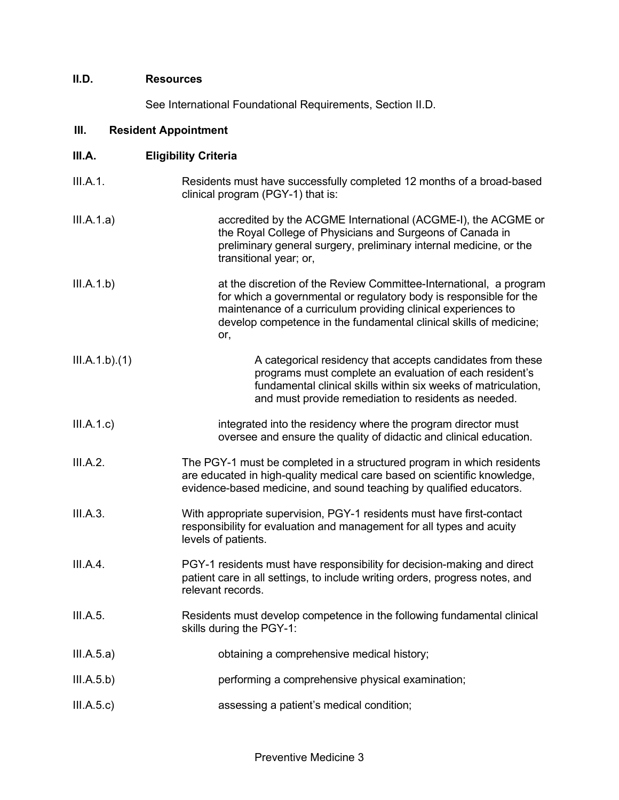#### **II.D. Resources**

See International Foundational Requirements, Section II.D.

#### **III. Resident Appointment**

| III.A.        | <b>Eligibility Criteria</b>                                                                                                                                                                                                                                                            |
|---------------|----------------------------------------------------------------------------------------------------------------------------------------------------------------------------------------------------------------------------------------------------------------------------------------|
| III.A.1.      | Residents must have successfully completed 12 months of a broad-based<br>clinical program (PGY-1) that is:                                                                                                                                                                             |
| III.A.1.a)    | accredited by the ACGME International (ACGME-I), the ACGME or<br>the Royal College of Physicians and Surgeons of Canada in<br>preliminary general surgery, preliminary internal medicine, or the<br>transitional year; or,                                                             |
| III.A.1.b)    | at the discretion of the Review Committee-International, a program<br>for which a governmental or regulatory body is responsible for the<br>maintenance of a curriculum providing clinical experiences to<br>develop competence in the fundamental clinical skills of medicine;<br>or, |
| III.A.1.b)(1) | A categorical residency that accepts candidates from these<br>programs must complete an evaluation of each resident's<br>fundamental clinical skills within six weeks of matriculation,<br>and must provide remediation to residents as needed.                                        |
| III.A.1.c)    | integrated into the residency where the program director must<br>oversee and ensure the quality of didactic and clinical education.                                                                                                                                                    |
| III.A.2.      | The PGY-1 must be completed in a structured program in which residents<br>are educated in high-quality medical care based on scientific knowledge,<br>evidence-based medicine, and sound teaching by qualified educators.                                                              |

- III.A.3. With appropriate supervision, PGY-1 residents must have first-contact responsibility for evaluation and management for all types and acuity levels of patients.
- III.A.4. PGY-1 residents must have responsibility for decision-making and direct patient care in all settings, to include writing orders, progress notes, and relevant records.
- III.A.5. Residents must develop competence in the following fundamental clinical skills during the PGY-1:
- III.A.5.a) obtaining a comprehensive medical history;
- III.A.5.b) performing a comprehensive physical examination;
- III.A.5.c) assessing a patient's medical condition;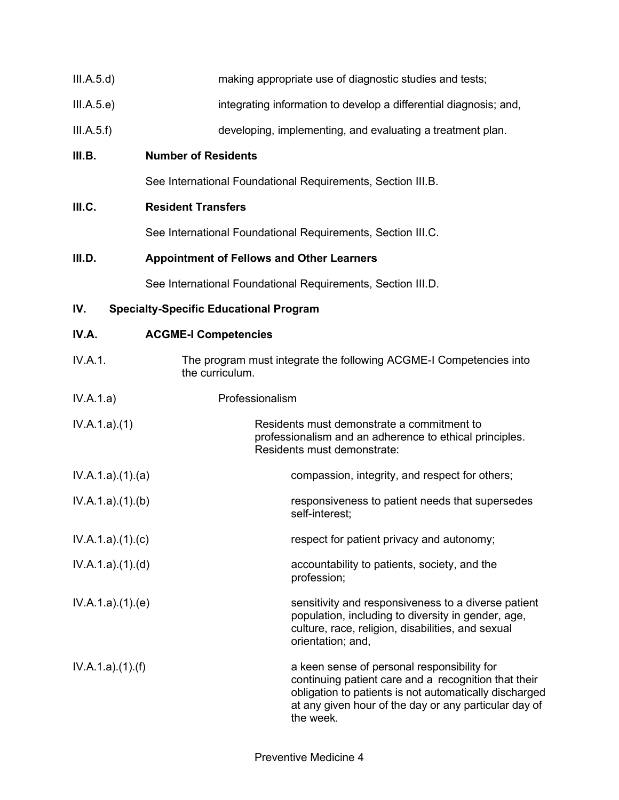| III.A.5.d) | making appropriate use of diagnostic studies and tests; |  |
|------------|---------------------------------------------------------|--|

- III.A.5.e) integrating information to develop a differential diagnosis; and,
- III.A.5.f) developing, implementing, and evaluating a treatment plan.

#### **III.B. Number of Residents**

See International Foundational Requirements, Section III.B.

### **III.C. Resident Transfers**

See International Foundational Requirements, Section III.C.

### **III.D. Appointment of Fellows and Other Learners**

See International Foundational Requirements, Section III.D.

### **IV. Specialty-Specific Educational Program**

| IV.A.           | <b>ACGME-I Competencies</b>                                                                                                                                                                                                         |
|-----------------|-------------------------------------------------------------------------------------------------------------------------------------------------------------------------------------------------------------------------------------|
| IV.A.1.         | The program must integrate the following ACGME-I Competencies into<br>the curriculum.                                                                                                                                               |
| IV.A.1.a)       | Professionalism                                                                                                                                                                                                                     |
| IV.A.1.a)(1)    | Residents must demonstrate a commitment to<br>professionalism and an adherence to ethical principles.<br>Residents must demonstrate:                                                                                                |
| IV.A.1.a)(1)(a) | compassion, integrity, and respect for others;                                                                                                                                                                                      |
| IV.A.1.a)(1)(b) | responsiveness to patient needs that supersedes<br>self-interest;                                                                                                                                                                   |
| IV.A.1.a)(1)(c) | respect for patient privacy and autonomy;                                                                                                                                                                                           |
| IV.A.1.a)(1)(d) | accountability to patients, society, and the<br>profession;                                                                                                                                                                         |
| IV.A.1.a)(1)(e) | sensitivity and responsiveness to a diverse patient<br>population, including to diversity in gender, age,<br>culture, race, religion, disabilities, and sexual<br>orientation; and,                                                 |
| IV.A.1.a)(1)(f) | a keen sense of personal responsibility for<br>continuing patient care and a recognition that their<br>obligation to patients is not automatically discharged<br>at any given hour of the day or any particular day of<br>the week. |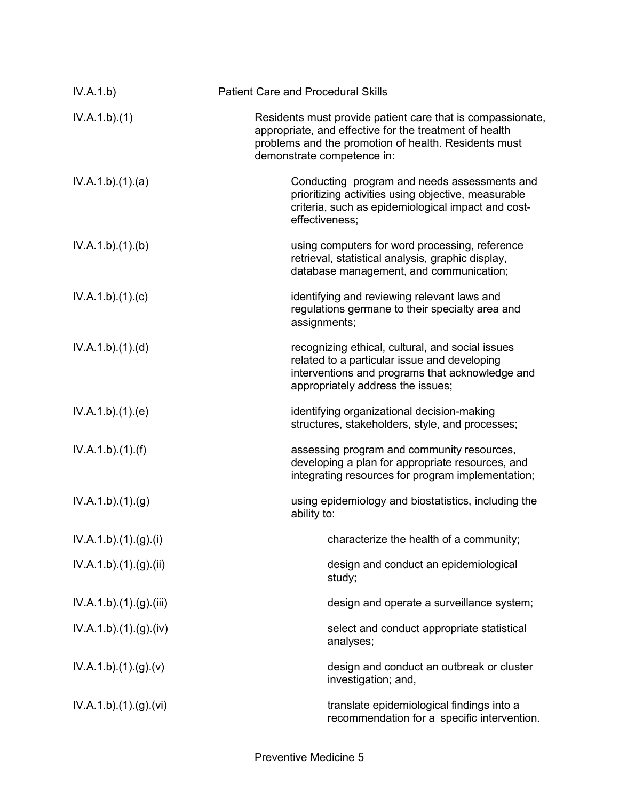| IV.A.1.b)              | <b>Patient Care and Procedural Skills</b>                                                                                                                                                                  |
|------------------------|------------------------------------------------------------------------------------------------------------------------------------------------------------------------------------------------------------|
| IV.A.1.b)(1)           | Residents must provide patient care that is compassionate,<br>appropriate, and effective for the treatment of health<br>problems and the promotion of health. Residents must<br>demonstrate competence in: |
| IV.A.1.b)(1)(a)        | Conducting program and needs assessments and<br>prioritizing activities using objective, measurable<br>criteria, such as epidemiological impact and cost-<br>effectiveness;                                |
| IV.A.1.b)(1)(b)        | using computers for word processing, reference<br>retrieval, statistical analysis, graphic display,<br>database management, and communication;                                                             |
| IV.A.1.b)(1)(c)        | identifying and reviewing relevant laws and<br>regulations germane to their specialty area and<br>assignments;                                                                                             |
| IV.A.1.b)(1)(d)        | recognizing ethical, cultural, and social issues<br>related to a particular issue and developing<br>interventions and programs that acknowledge and<br>appropriately address the issues;                   |
| IV.A.1.b)(1)(e)        | identifying organizational decision-making<br>structures, stakeholders, style, and processes;                                                                                                              |
| IV.A.1.b)(1)(f)        | assessing program and community resources,<br>developing a plan for appropriate resources, and<br>integrating resources for program implementation;                                                        |
| IV.A.1.b)(1)(g)        | using epidemiology and biostatistics, including the<br>ability to:                                                                                                                                         |
| IV.A.1.b)(1)(g)(i)     | characterize the health of a community;                                                                                                                                                                    |
| IV.A.1.b)(1)(g)(ii)    | design and conduct an epidemiological<br>study;                                                                                                                                                            |
| IV.A.1.b)(1)(g)(iii)   | design and operate a surveillance system;                                                                                                                                                                  |
| IV.A.1.b) (1) (g) (iv) | select and conduct appropriate statistical<br>analyses;                                                                                                                                                    |
| IV.A.1.b)(1)(g)(v)     | design and conduct an outbreak or cluster<br>investigation; and,                                                                                                                                           |
| IV.A.1.b)(1)(g)(vi)    | translate epidemiological findings into a<br>recommendation for a specific intervention.                                                                                                                   |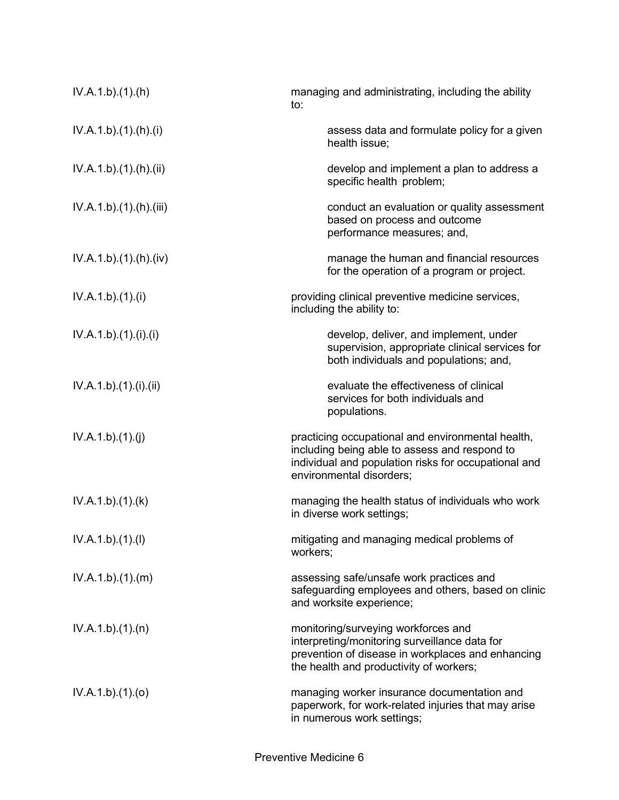| IV.A.1.b)(1)(h)      | managing and administrating, including the ability<br>to:                                                                                                                              |
|----------------------|----------------------------------------------------------------------------------------------------------------------------------------------------------------------------------------|
| IV.A.1.b)(1).(h)(i)  | assess data and formulate policy for a given<br>health issue;                                                                                                                          |
| IV.A.1.b)(1)(h)(ii)  | develop and implement a plan to address a<br>specific health problem;                                                                                                                  |
| IV.A.1.b)(1)(h)(iii) | conduct an evaluation or quality assessment<br>based on process and outcome<br>performance measures; and,                                                                              |
| IV.A.1.b)(1)(h)(iv)  | manage the human and financial resources<br>for the operation of a program or project.                                                                                                 |
| IV.A.1.b)(1)(i)      | providing clinical preventive medicine services,<br>including the ability to:                                                                                                          |
| IV.A.1.b)(1)(i)(i)   | develop, deliver, and implement, under<br>supervision, appropriate clinical services for<br>both individuals and populations; and,                                                     |
| IV.A.1.b)(1)(i)(ii)  | evaluate the effectiveness of clinical<br>services for both individuals and<br>populations.                                                                                            |
| IV.A.1.b)(1)(j)      | practicing occupational and environmental health,<br>including being able to assess and respond to<br>individual and population risks for occupational and<br>environmental disorders; |
| IV.A.1.b)(1)(k)      | managing the health status of individuals who work<br>in diverse work settings;                                                                                                        |
| IV.A.1.b)(1)(I)      | mitigating and managing medical problems of<br>workers;                                                                                                                                |
| IV.A.1.b)(1)(m)      | assessing safe/unsafe work practices and<br>safeguarding employees and others, based on clinic<br>and worksite experience;                                                             |
| IV.A.1.b)(1)(n)      | monitoring/surveying workforces and<br>interpreting/monitoring surveillance data for<br>prevention of disease in workplaces and enhancing<br>the health and productivity of workers;   |
| IV.A.1.b)(1)(o)      | managing worker insurance documentation and<br>paperwork, for work-related injuries that may arise<br>in numerous work settings;                                                       |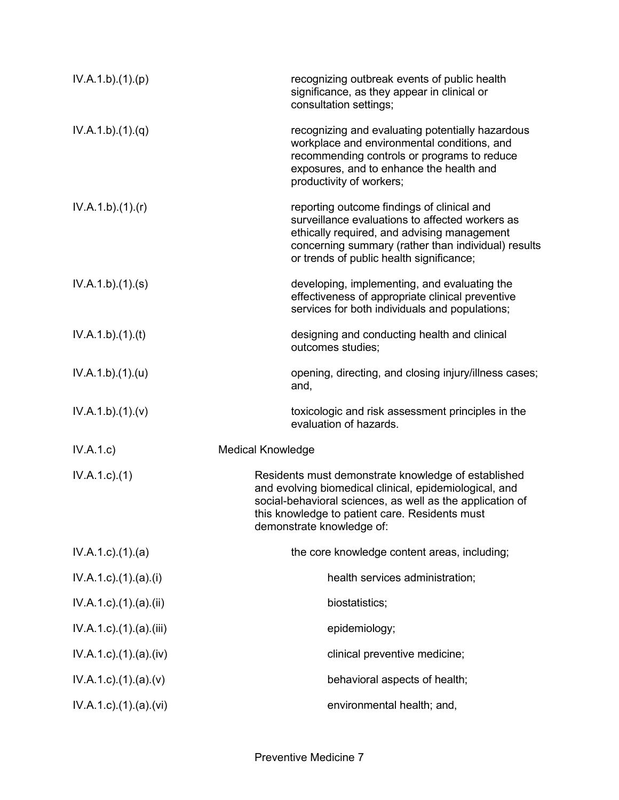| IV.A.1.b)(1)(p)                   | recognizing outbreak events of public health<br>significance, as they appear in clinical or<br>consultation settings;                                                                                                                                     |
|-----------------------------------|-----------------------------------------------------------------------------------------------------------------------------------------------------------------------------------------------------------------------------------------------------------|
| IV.A.1.b)(1)(q)                   | recognizing and evaluating potentially hazardous<br>workplace and environmental conditions, and<br>recommending controls or programs to reduce<br>exposures, and to enhance the health and<br>productivity of workers;                                    |
| IV.A.1.b)(1)(r)                   | reporting outcome findings of clinical and<br>surveillance evaluations to affected workers as<br>ethically required, and advising management<br>concerning summary (rather than individual) results<br>or trends of public health significance;           |
| IV.A.1.b)(1)(s)                   | developing, implementing, and evaluating the<br>effectiveness of appropriate clinical preventive<br>services for both individuals and populations;                                                                                                        |
| IV.A.1.b)(1)(t)                   | designing and conducting health and clinical<br>outcomes studies;                                                                                                                                                                                         |
| IV.A.1.b)(1)(u)                   | opening, directing, and closing injury/illness cases;<br>and,                                                                                                                                                                                             |
| IV.A.1.b)(1)(v)                   | toxicologic and risk assessment principles in the<br>evaluation of hazards.                                                                                                                                                                               |
| IV.A.1.c)                         | <b>Medical Knowledge</b>                                                                                                                                                                                                                                  |
| $IV.A.1.c.$ (1)                   | Residents must demonstrate knowledge of established<br>and evolving biomedical clinical, epidemiological, and<br>social-behavioral sciences, as well as the application of<br>this knowledge to patient care. Residents must<br>demonstrate knowledge of: |
| $IV.A.1.c$ . $(1).$ $(a)$         | the core knowledge content areas, including;                                                                                                                                                                                                              |
| $IV.A.1.c$ ). $(1).$ $(a).$ $(i)$ | health services administration;                                                                                                                                                                                                                           |
| $IV.A.1.c$ ). $(1).$ (a). $(ii)$  | biostatistics;                                                                                                                                                                                                                                            |
| $IV.A.1.c$ . $(1).$ (a). $(iii)$  | epidemiology;                                                                                                                                                                                                                                             |
| $IV.A.1.c$ . $(1).$ (a). $(iv)$   | clinical preventive medicine;                                                                                                                                                                                                                             |
| $IV.A.1.c$ . $(1).$ $(a).$ $(v)$  | behavioral aspects of health;                                                                                                                                                                                                                             |
| $IV.A.1.c$ . $(1).$ $(a).$ $(vi)$ | environmental health; and,                                                                                                                                                                                                                                |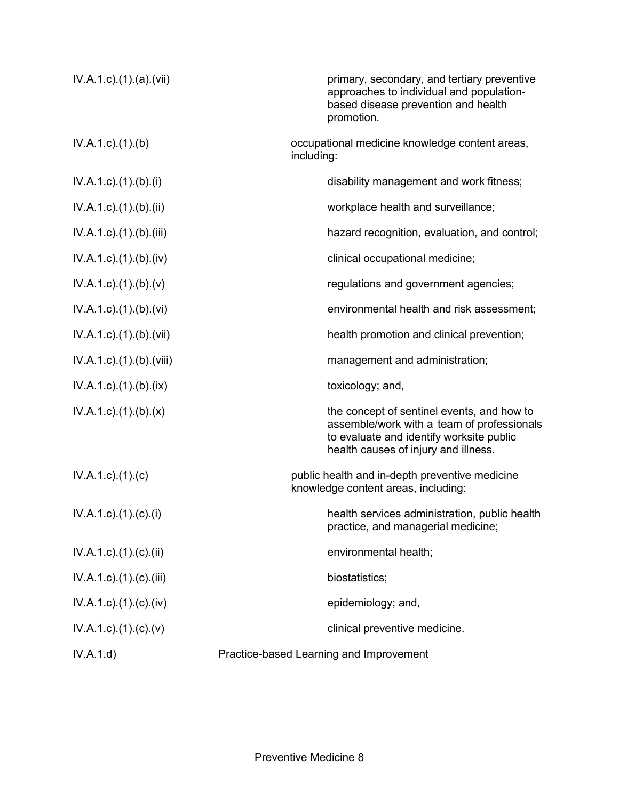| $IV.A.1.c$ . $(1).$ $(a).$ $(vii)$  | primary, secondary, and tertiary preventive<br>approaches to individual and population-<br>based disease prevention and health<br>promotion.                                 |
|-------------------------------------|------------------------------------------------------------------------------------------------------------------------------------------------------------------------------|
| $IV.A.1.c$ . $(1).$ (b)             | occupational medicine knowledge content areas,<br>including:                                                                                                                 |
| IV.A.1.c).(1).(b).(i)               | disability management and work fitness;                                                                                                                                      |
| $IV.A.1.c$ ). $(1).$ (b). $(ii)$    | workplace health and surveillance;                                                                                                                                           |
| $IV.A.1.c$ . $(1).$ (b). $(iii)$    | hazard recognition, evaluation, and control;                                                                                                                                 |
| $IV.A.1.c$ . $(1).$ (b). $(iv)$     | clinical occupational medicine;                                                                                                                                              |
| $IV.A.1.c$ ). $(1).$ (b). $(v)$     | regulations and government agencies;                                                                                                                                         |
| IV.A.1.c) (1) (b) (vi)              | environmental health and risk assessment;                                                                                                                                    |
| IV.A.1.c).(1).(b).(vii)             | health promotion and clinical prevention;                                                                                                                                    |
| IV.A.1.c).(1).(b).(viii)            | management and administration;                                                                                                                                               |
| $IV.A.1.c$ . $(1).$ (b). $(ix)$     | toxicology; and,                                                                                                                                                             |
| $IV.A.1.c$ ). $(1).$ (b). $(x)$     | the concept of sentinel events, and how to<br>assemble/work with a team of professionals<br>to evaluate and identify worksite public<br>health causes of injury and illness. |
| $IV.A.1.c$ ). $(1).$ (c)            | public health and in-depth preventive medicine<br>knowledge content areas, including:                                                                                        |
| IV.A.1.c).(1).(c).(i)               | health services administration, public health<br>practice, and managerial medicine;                                                                                          |
| $IV.A.1.c$ . $(1).$ $(c).$ $(ii)$   | environmental health;                                                                                                                                                        |
| $IV.A.1.c$ . $(1).$ $(c)$ . $(iii)$ | biostatistics;                                                                                                                                                               |
| $IV.A.1.c$ . $(1).$ $(c)$ . $(iv)$  | epidemiology; and,                                                                                                                                                           |
| $IV.A.1.c$ ). $(1). (c). (v)$       | clinical preventive medicine.                                                                                                                                                |
| IV.A.1.d)                           | Practice-based Learning and Improvement                                                                                                                                      |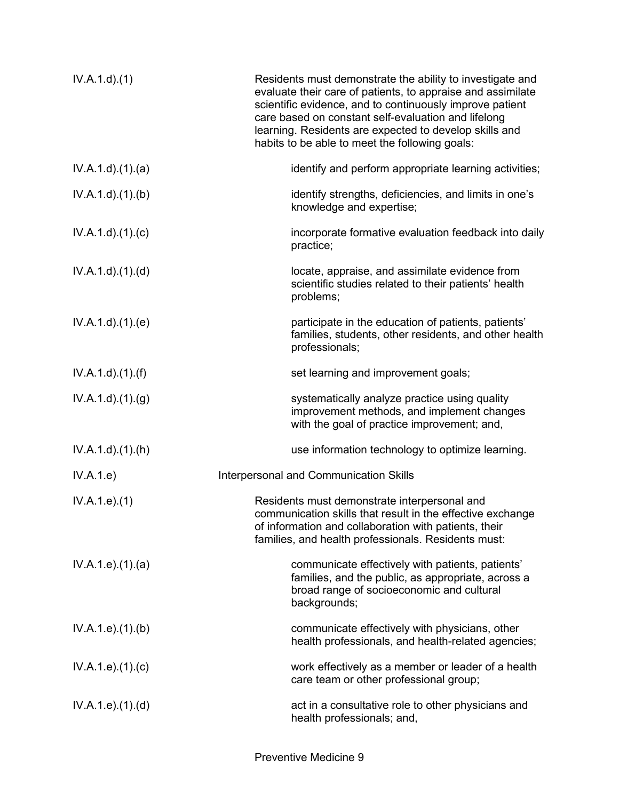| IV.A.1.d.(1)       | Residents must demonstrate the ability to investigate and<br>evaluate their care of patients, to appraise and assimilate<br>scientific evidence, and to continuously improve patient<br>care based on constant self-evaluation and lifelong<br>learning. Residents are expected to develop skills and<br>habits to be able to meet the following goals: |
|--------------------|---------------------------------------------------------------------------------------------------------------------------------------------------------------------------------------------------------------------------------------------------------------------------------------------------------------------------------------------------------|
| IV.A.1.d.(1).(a)   | identify and perform appropriate learning activities;                                                                                                                                                                                                                                                                                                   |
| IV.A.1.d)(1)(b)    | identify strengths, deficiencies, and limits in one's<br>knowledge and expertise;                                                                                                                                                                                                                                                                       |
| IV.A.1.d)(1)(c)    | incorporate formative evaluation feedback into daily<br>practice;                                                                                                                                                                                                                                                                                       |
| IV.A.1.d)(1)(d)    | locate, appraise, and assimilate evidence from<br>scientific studies related to their patients' health<br>problems;                                                                                                                                                                                                                                     |
| IV.A.1.d.(1).(e)   | participate in the education of patients, patients'<br>families, students, other residents, and other health<br>professionals;                                                                                                                                                                                                                          |
| IV.A.1.d)(1.(f))   | set learning and improvement goals;                                                                                                                                                                                                                                                                                                                     |
| IV.A.1.d)(1)(g)    | systematically analyze practice using quality<br>improvement methods, and implement changes<br>with the goal of practice improvement; and,                                                                                                                                                                                                              |
| IV.A.1.d.(1).(h)   | use information technology to optimize learning.                                                                                                                                                                                                                                                                                                        |
| IV.A.1.e)          | <b>Interpersonal and Communication Skills</b>                                                                                                                                                                                                                                                                                                           |
| IV.A.1.e. (1)      | Residents must demonstrate interpersonal and<br>communication skills that result in the effective exchange<br>of information and collaboration with patients, their<br>families, and health professionals. Residents must:                                                                                                                              |
| IV.A.1.e. (1). (a) | communicate effectively with patients, patients'<br>families, and the public, as appropriate, across a<br>broad range of socioeconomic and cultural<br>backgrounds;                                                                                                                                                                                     |
| IV.A.1.e. (1)(b)   | communicate effectively with physicians, other<br>health professionals, and health-related agencies;                                                                                                                                                                                                                                                    |
| IV.A.1.e. (1). (c) | work effectively as a member or leader of a health<br>care team or other professional group;                                                                                                                                                                                                                                                            |
| IV.A.1.e. (1). (d) | act in a consultative role to other physicians and<br>health professionals; and,                                                                                                                                                                                                                                                                        |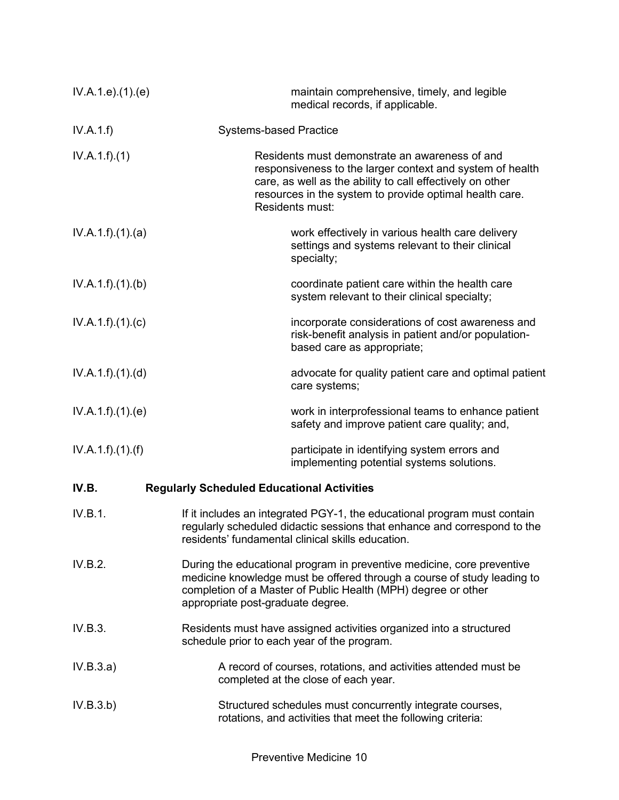| IV.A.1.e. (1). (e) | maintain comprehensive, timely, and legible<br>medical records, if applicable.                                                                                                                                                                          |
|--------------------|---------------------------------------------------------------------------------------------------------------------------------------------------------------------------------------------------------------------------------------------------------|
| IV.A.1.f)          | <b>Systems-based Practice</b>                                                                                                                                                                                                                           |
| IV.A.1.f)(1)       | Residents must demonstrate an awareness of and<br>responsiveness to the larger context and system of health<br>care, as well as the ability to call effectively on other<br>resources in the system to provide optimal health care.<br>Residents must:  |
| IV.A.1.f)(1)(a)    | work effectively in various health care delivery<br>settings and systems relevant to their clinical<br>specialty;                                                                                                                                       |
| IV.A.1.f)(1)(b)    | coordinate patient care within the health care<br>system relevant to their clinical specialty;                                                                                                                                                          |
| IV.A.1.f)(1)(c)    | incorporate considerations of cost awareness and<br>risk-benefit analysis in patient and/or population-<br>based care as appropriate;                                                                                                                   |
| IV.A.1.f)(1)(d)    | advocate for quality patient care and optimal patient<br>care systems;                                                                                                                                                                                  |
| IV.A.1.f)(1)(e)    | work in interprofessional teams to enhance patient<br>safety and improve patient care quality; and,                                                                                                                                                     |
| IV.A.1.f).(1).(f)  | participate in identifying system errors and<br>implementing potential systems solutions.                                                                                                                                                               |
| IV.B.              | <b>Regularly Scheduled Educational Activities</b>                                                                                                                                                                                                       |
| IV.B.1.            | If it includes an integrated PGY-1, the educational program must contain<br>regularly scheduled didactic sessions that enhance and correspond to the<br>residents' fundamental clinical skills education.                                               |
| IV.B.2.            | During the educational program in preventive medicine, core preventive<br>medicine knowledge must be offered through a course of study leading to<br>completion of a Master of Public Health (MPH) degree or other<br>appropriate post-graduate degree. |
| IV.B.3.            | Residents must have assigned activities organized into a structured<br>schedule prior to each year of the program.                                                                                                                                      |
| IV.B.3.a)          | A record of courses, rotations, and activities attended must be<br>completed at the close of each year.                                                                                                                                                 |
| IV.B.3.b)          | Structured schedules must concurrently integrate courses,<br>rotations, and activities that meet the following criteria:                                                                                                                                |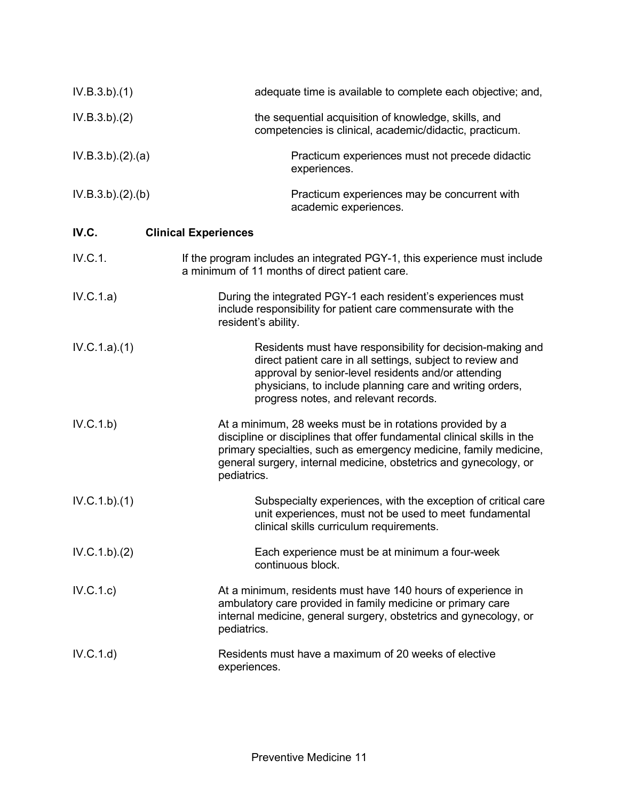| IV.B.3.b)(1)     | adequate time is available to complete each objective; and,                                                                                                                                                                                                                                   |
|------------------|-----------------------------------------------------------------------------------------------------------------------------------------------------------------------------------------------------------------------------------------------------------------------------------------------|
| IV.B.3.b)(2)     | the sequential acquisition of knowledge, skills, and<br>competencies is clinical, academic/didactic, practicum.                                                                                                                                                                               |
| IV.B.3.b)(2).(a) | Practicum experiences must not precede didactic<br>experiences.                                                                                                                                                                                                                               |
| IV.B.3.b)(2)(b)  | Practicum experiences may be concurrent with<br>academic experiences.                                                                                                                                                                                                                         |
| IV.C.            | <b>Clinical Experiences</b>                                                                                                                                                                                                                                                                   |
| IV.C.1.          | If the program includes an integrated PGY-1, this experience must include<br>a minimum of 11 months of direct patient care.                                                                                                                                                                   |
| IV.C.1.a)        | During the integrated PGY-1 each resident's experiences must<br>include responsibility for patient care commensurate with the<br>resident's ability.                                                                                                                                          |
| IV.C.1.a)(1)     | Residents must have responsibility for decision-making and<br>direct patient care in all settings, subject to review and<br>approval by senior-level residents and/or attending<br>physicians, to include planning care and writing orders,<br>progress notes, and relevant records.          |
| IV.C.1.b)        | At a minimum, 28 weeks must be in rotations provided by a<br>discipline or disciplines that offer fundamental clinical skills in the<br>primary specialties, such as emergency medicine, family medicine,<br>general surgery, internal medicine, obstetrics and gynecology, or<br>pediatrics. |
| IV.C.1.b)(1)     | Subspecialty experiences, with the exception of critical care<br>unit experiences, must not be used to meet fundamental<br>clinical skills curriculum requirements.                                                                                                                           |
| IV.C.1.b)(2)     | Each experience must be at minimum a four-week<br>continuous block.                                                                                                                                                                                                                           |
| IV.C.1.c)        | At a minimum, residents must have 140 hours of experience in<br>ambulatory care provided in family medicine or primary care<br>internal medicine, general surgery, obstetrics and gynecology, or<br>pediatrics.                                                                               |
| IV.C.1.d)        | Residents must have a maximum of 20 weeks of elective<br>experiences.                                                                                                                                                                                                                         |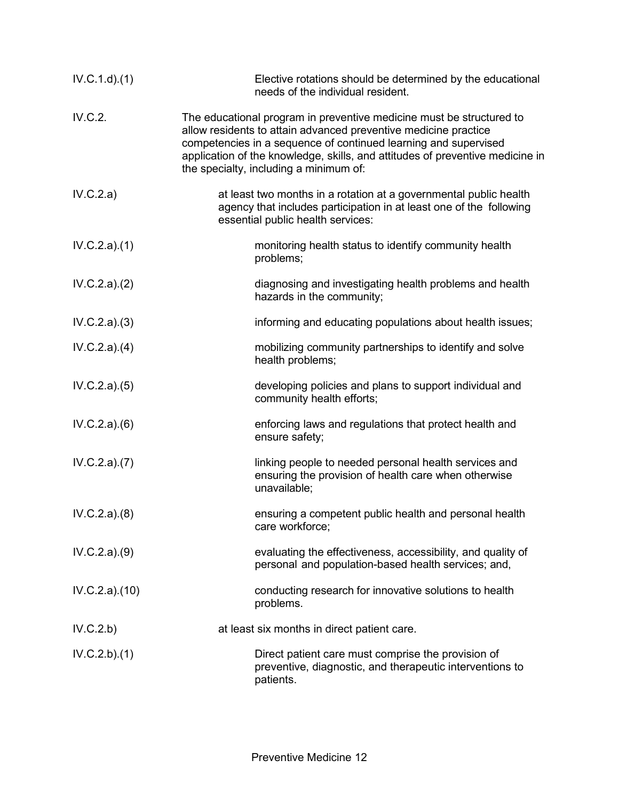| IV.C.1.d)(1)  | Elective rotations should be determined by the educational<br>needs of the individual resident.                                                                                                                                                                                                                                       |
|---------------|---------------------------------------------------------------------------------------------------------------------------------------------------------------------------------------------------------------------------------------------------------------------------------------------------------------------------------------|
| IV.C.2.       | The educational program in preventive medicine must be structured to<br>allow residents to attain advanced preventive medicine practice<br>competencies in a sequence of continued learning and supervised<br>application of the knowledge, skills, and attitudes of preventive medicine in<br>the specialty, including a minimum of: |
| IV.C.2.a)     | at least two months in a rotation at a governmental public health<br>agency that includes participation in at least one of the following<br>essential public health services:                                                                                                                                                         |
| IV.C.2.a)(1)  | monitoring health status to identify community health<br>problems;                                                                                                                                                                                                                                                                    |
| IV.C.2.a)(2)  | diagnosing and investigating health problems and health<br>hazards in the community;                                                                                                                                                                                                                                                  |
| IV.C.2.a)(3)  | informing and educating populations about health issues;                                                                                                                                                                                                                                                                              |
| IV.C.2.a)(4)  | mobilizing community partnerships to identify and solve<br>health problems;                                                                                                                                                                                                                                                           |
| IV.C.2.a)(5)  | developing policies and plans to support individual and<br>community health efforts;                                                                                                                                                                                                                                                  |
| IV.C.2.a)(6)  | enforcing laws and regulations that protect health and<br>ensure safety;                                                                                                                                                                                                                                                              |
| IV.C.2.a)(7)  | linking people to needed personal health services and<br>ensuring the provision of health care when otherwise<br>unavailable;                                                                                                                                                                                                         |
| IV.C.2.a)(8)  | ensuring a competent public health and personal health<br>care workforce;                                                                                                                                                                                                                                                             |
| IV.C.2.a)(9)  | evaluating the effectiveness, accessibility, and quality of<br>personal and population-based health services; and,                                                                                                                                                                                                                    |
| IV.C.2.a)(10) | conducting research for innovative solutions to health<br>problems.                                                                                                                                                                                                                                                                   |
| IV.C.2.b)     | at least six months in direct patient care.                                                                                                                                                                                                                                                                                           |
| IV.C.2.b)(1)  | Direct patient care must comprise the provision of<br>preventive, diagnostic, and therapeutic interventions to<br>patients.                                                                                                                                                                                                           |